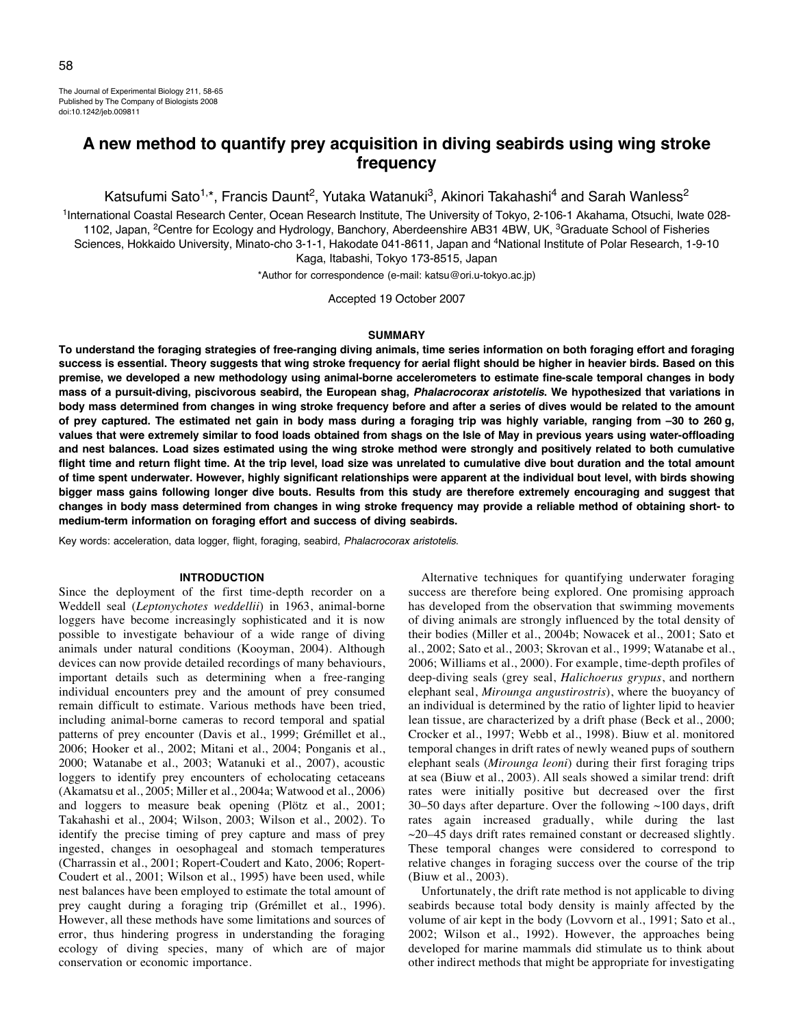The Journal of Experimental Biology 211, 58-65 Published by The Company of Biologists 2008 doi:10.1242/jeb.009811

# **A new method to quantify prey acquisition in diving seabirds using wing stroke frequency**

Katsufumi Sato<sup>1,\*</sup>, Francis Daunt<sup>2</sup>, Yutaka Watanuki<sup>3</sup>, Akinori Takahashi<sup>4</sup> and Sarah Wanless<sup>2</sup>

<sup>1</sup>International Coastal Research Center, Ocean Research Institute, The University of Tokyo, 2-106-1 Akahama, Otsuchi, Iwate 028-1102, Japan, <sup>2</sup>Centre for Ecology and Hydrology, Banchory, Aberdeenshire AB31 4BW, UK, <sup>3</sup>Graduate School of Fisheries Sciences, Hokkaido University, Minato-cho 3-1-1, Hakodate 041-8611, Japan and <sup>4</sup>National Institute of Polar Research, 1-9-10 Kaga, Itabashi, Tokyo 173-8515, Japan

\*Author for correspondence (e-mail: katsu@ori.u-tokyo.ac.jp)

Accepted 19 October 2007

#### **SUMMARY**

**To understand the foraging strategies of free-ranging diving animals, time series information on both foraging effort and foraging success is essential. Theory suggests that wing stroke frequency for aerial flight should be higher in heavier birds. Based on this premise, we developed a new methodology using animal-borne accelerometers to estimate fine-scale temporal changes in body mass of a pursuit-diving, piscivorous seabird, the European shag, Phalacrocorax aristotelis. We hypothesized that variations in body mass determined from changes in wing stroke frequency before and after a series of dives would be related to the amount of prey captured. The estimated net gain in body mass during a foraging trip was highly variable, ranging from –30 to 260·g, values that were extremely similar to food loads obtained from shags on the Isle of May in previous years using water-offloading and nest balances. Load sizes estimated using the wing stroke method were strongly and positively related to both cumulative flight time and return flight time. At the trip level, load size was unrelated to cumulative dive bout duration and the total amount of time spent underwater. However, highly significant relationships were apparent at the individual bout level, with birds showing bigger mass gains following longer dive bouts. Results from this study are therefore extremely encouraging and suggest that changes in body mass determined from changes in wing stroke frequency may provide a reliable method of obtaining short- to medium-term information on foraging effort and success of diving seabirds.**

Key words: acceleration, data logger, flight, foraging, seabird, Phalacrocorax aristotelis.

#### **INTRODUCTION**

Since the deployment of the first time-depth recorder on a Weddell seal (*Leptonychotes weddellii*) in 1963, animal-borne loggers have become increasingly sophisticated and it is now possible to investigate behaviour of a wide range of diving animals under natural conditions (Kooyman, 2004). Although devices can now provide detailed recordings of many behaviours, important details such as determining when a free-ranging individual encounters prey and the amount of prey consumed remain difficult to estimate. Various methods have been tried, including animal-borne cameras to record temporal and spatial patterns of prey encounter (Davis et al., 1999; Grémillet et al., 2006; Hooker et al., 2002; Mitani et al., 2004; Ponganis et al., 2000; Watanabe et al., 2003; Watanuki et al., 2007), acoustic loggers to identify prey encounters of echolocating cetaceans (Akamatsu et al., 2005; Miller et al., 2004a; Watwood et al., 2006) and loggers to measure beak opening (Plötz et al., 2001; Takahashi et al., 2004; Wilson, 2003; Wilson et al., 2002). To identify the precise timing of prey capture and mass of prey ingested, changes in oesophageal and stomach temperatures (Charrassin et al., 2001; Ropert-Coudert and Kato, 2006; Ropert-Coudert et al., 2001; Wilson et al., 1995) have been used, while nest balances have been employed to estimate the total amount of prey caught during a foraging trip (Grémillet et al., 1996). However, all these methods have some limitations and sources of error, thus hindering progress in understanding the foraging ecology of diving species, many of which are of major conservation or economic importance.

Alternative techniques for quantifying underwater foraging success are therefore being explored. One promising approach has developed from the observation that swimming movements of diving animals are strongly influenced by the total density of their bodies (Miller et al., 2004b; Nowacek et al., 2001; Sato et al., 2002; Sato et al., 2003; Skrovan et al., 1999; Watanabe et al., 2006; Williams et al., 2000). For example, time-depth profiles of deep-diving seals (grey seal, *Halichoerus grypus*, and northern elephant seal, *Mirounga angustirostris*), where the buoyancy of an individual is determined by the ratio of lighter lipid to heavier lean tissue, are characterized by a drift phase (Beck et al., 2000; Crocker et al., 1997; Webb et al., 1998). Biuw et al. monitored temporal changes in drift rates of newly weaned pups of southern elephant seals (*Mirounga leoni*) during their first foraging trips at sea (Biuw et al., 2003). All seals showed a similar trend: drift rates were initially positive but decreased over the first 30–50 days after departure. Over the following  $\sim$ 100 days, drift rates again increased gradually, while during the last  $\sim$ 20–45 days drift rates remained constant or decreased slightly. These temporal changes were considered to correspond to relative changes in foraging success over the course of the trip (Biuw et al., 2003).

Unfortunately, the drift rate method is not applicable to diving seabirds because total body density is mainly affected by the volume of air kept in the body (Lovvorn et al., 1991; Sato et al., 2002; Wilson et al., 1992). However, the approaches being developed for marine mammals did stimulate us to think about other indirect methods that might be appropriate for investigating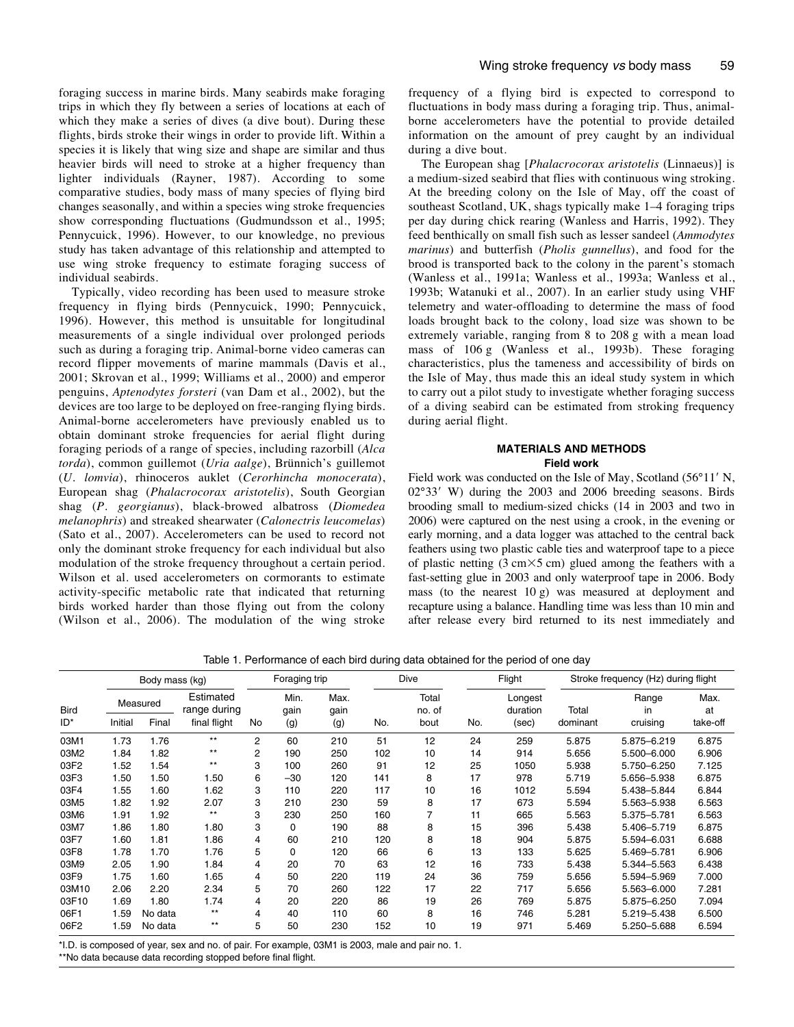foraging success in marine birds. Many seabirds make foraging trips in which they fly between a series of locations at each of which they make a series of dives (a dive bout). During these flights, birds stroke their wings in order to provide lift. Within a species it is likely that wing size and shape are similar and thus heavier birds will need to stroke at a higher frequency than lighter individuals (Rayner, 1987). According to some comparative studies, body mass of many species of flying bird changes seasonally, and within a species wing stroke frequencies show corresponding fluctuations (Gudmundsson et al., 1995; Pennycuick, 1996). However, to our knowledge, no previous study has taken advantage of this relationship and attempted to use wing stroke frequency to estimate foraging success of individual seabirds.

Typically, video recording has been used to measure stroke frequency in flying birds (Pennycuick, 1990; Pennycuick, 1996). However, this method is unsuitable for longitudinal measurements of a single individual over prolonged periods such as during a foraging trip. Animal-borne video cameras can record flipper movements of marine mammals (Davis et al., 2001; Skrovan et al., 1999; Williams et al., 2000) and emperor penguins, *Aptenodytes forsteri* (van Dam et al., 2002), but the devices are too large to be deployed on free-ranging flying birds. Animal-borne accelerometers have previously enabled us to obtain dominant stroke frequencies for aerial flight during foraging periods of a range of species, including razorbill (*Alca torda*), common guillemot (*Uria aalge*), Brünnich's guillemot (*U. lomvia*), rhinoceros auklet (*Cerorhincha monocerata*), European shag (*Phalacrocorax aristotelis*), South Georgian shag (*P. georgianus*), black-browed albatross (*Diomedea melanophris*) and streaked shearwater (*Calonectris leucomelas*) (Sato et al., 2007). Accelerometers can be used to record not only the dominant stroke frequency for each individual but also modulation of the stroke frequency throughout a certain period. Wilson et al. used accelerometers on cormorants to estimate activity-specific metabolic rate that indicated that returning birds worked harder than those flying out from the colony (Wilson et al., 2006). The modulation of the wing stroke

frequency of a flying bird is expected to correspond to fluctuations in body mass during a foraging trip. Thus, animalborne accelerometers have the potential to provide detailed information on the amount of prey caught by an individual during a dive bout.

The European shag [*Phalacrocorax aristotelis* (Linnaeus)] is a medium-sized seabird that flies with continuous wing stroking. At the breeding colony on the Isle of May, off the coast of southeast Scotland, UK, shags typically make 1–4 foraging trips per day during chick rearing (Wanless and Harris, 1992). They feed benthically on small fish such as lesser sandeel (*Ammodytes marinus*) and butterfish (*Pholis gunnellus*), and food for the brood is transported back to the colony in the parent's stomach (Wanless et al., 1991a; Wanless et al., 1993a; Wanless et al., 1993b; Watanuki et al., 2007). In an earlier study using VHF telemetry and water-offloading to determine the mass of food loads brought back to the colony, load size was shown to be extremely variable, ranging from 8 to 208 g with a mean load mass of  $106g$  (Wanless et al., 1993b). These foraging characteristics, plus the tameness and accessibility of birds on the Isle of May, thus made this an ideal study system in which to carry out a pilot study to investigate whether foraging success of a diving seabird can be estimated from stroking frequency during aerial flight.

# **MATERIALS AND METHODS Field work**

Field work was conducted on the Isle of May, Scotland (56°11' N, 02°33' W) during the 2003 and 2006 breeding seasons. Birds brooding small to medium-sized chicks (14 in 2003 and two in 2006) were captured on the nest using a crook, in the evening or early morning, and a data logger was attached to the central back feathers using two plastic cable ties and waterproof tape to a piece of plastic netting  $(3 \text{ cm} \times 5 \text{ cm})$  glued among the feathers with a fast-setting glue in 2003 and only waterproof tape in 2006. Body mass (to the nearest  $10\text{ g}$ ) was measured at deployment and recapture using a balance. Handling time was less than 10 min and after release every bird returned to its nest immediately and

Table 1. Performance of each bird during data obtained for the period of one day

| <b>Bird</b> | Body mass (kg) |         |                           | Foraging trip |              |              | Dive |                 | Flight |                     | Stroke frequency (Hz) during flight |             |            |
|-------------|----------------|---------|---------------------------|---------------|--------------|--------------|------|-----------------|--------|---------------------|-------------------------------------|-------------|------------|
|             | Measured       |         | Estimated<br>range during |               | Min.<br>gain | Max.<br>gain |      | Total<br>no. of |        | Longest<br>duration | Total                               | Range<br>in | Max.<br>at |
| ID*         | Initial        | Final   | final flight              | No            | (g)          | (g)          | No.  | bout            | No.    | (sec)               | dominant                            | cruising    | take-off   |
| 03M1        | 1.73           | 1.76    | $***$                     | 2             | 60           | 210          | 51   | 12              | 24     | 259                 | 5.875                               | 5.875-6.219 | 6.875      |
| 03M2        | 1.84           | 1.82    | $***$                     | 2             | 190          | 250          | 102  | 10              | 14     | 914                 | 5.656                               | 5.500-6.000 | 6.906      |
| 03F2        | 1.52           | 1.54    | $***$                     | 3             | 100          | 260          | 91   | 12              | 25     | 1050                | 5.938                               | 5.750-6.250 | 7.125      |
| 03F3        | 1.50           | 1.50    | 1.50                      | 6             | $-30$        | 120          | 141  | 8               | 17     | 978                 | 5.719                               | 5.656-5.938 | 6.875      |
| 03F4        | 1.55           | 1.60    | 1.62                      | 3             | 110          | 220          | 117  | 10              | 16     | 1012                | 5.594                               | 5.438-5.844 | 6.844      |
| 03M5        | 1.82           | .92     | 2.07                      | 3             | 210          | 230          | 59   | 8               | 17     | 673                 | 5.594                               | 5.563-5.938 | 6.563      |
| 03M6        | 1.91           | 1.92    | $***$                     | 3             | 230          | 250          | 160  |                 | 11     | 665                 | 5.563                               | 5.375-5.781 | 6.563      |
| 03M7        | 1.86           | 1.80    | 1.80                      | 3             | 0            | 190          | 88   | 8               | 15     | 396                 | 5.438                               | 5.406-5.719 | 6.875      |
| 03F7        | 1.60           | 1.81    | 1.86                      | 4             | 60           | 210          | 120  | 8               | 18     | 904                 | 5.875                               | 5.594-6.031 | 6.688      |
| 03F8        | 1.78           | 1.70    | 1.76                      | 5             | 0            | 120          | 66   | 6               | 13     | 133                 | 5.625                               | 5.469-5.781 | 6.906      |
| 03M9        | 2.05           | 1.90    | 1.84                      | 4             | 20           | 70           | 63   | 12              | 16     | 733                 | 5.438                               | 5.344-5.563 | 6.438      |
| 03F9        | 1.75           | 1.60    | 1.65                      | 4             | 50           | 220          | 119  | 24              | 36     | 759                 | 5.656                               | 5.594-5.969 | 7.000      |
| 03M10       | 2.06           | 2.20    | 2.34                      | 5             | 70           | 260          | 122  | 17              | 22     | 717                 | 5.656                               | 5.563-6.000 | 7.281      |
| 03F10       | 1.69           | 1.80    | 1.74                      | 4             | 20           | 220          | 86   | 19              | 26     | 769                 | 5.875                               | 5.875-6.250 | 7.094      |
| 06F1        | 1.59           | No data | $***$                     | 4             | 40           | 110          | 60   | 8               | 16     | 746                 | 5.281                               | 5.219-5.438 | 6.500      |
| 06F2        | 1.59           | No data | $***$                     | 5             | 50           | 230          | 152  | 10              | 19     | 971                 | 5.469                               | 5.250-5.688 | 6.594      |

\*I.D. is composed of year, sex and no. of pair. For example, 03M1 is 2003, male and pair no. 1.

\*\*No data because data recording stopped before final flight.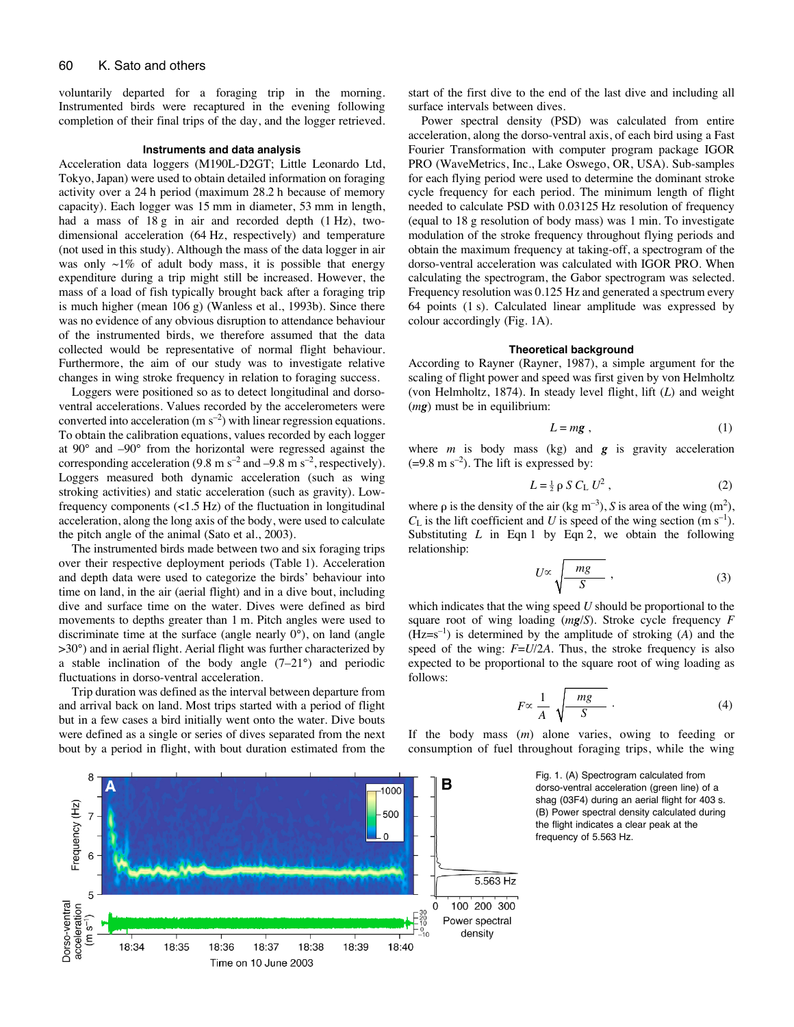voluntarily departed for a foraging trip in the morning. Instrumented birds were recaptured in the evening following completion of their final trips of the day, and the logger retrieved.

#### **Instruments and data analysis**

Acceleration data loggers (M190L-D2GT; Little Leonardo Ltd, Tokyo, Japan) were used to obtain detailed information on foraging activity over a 24 h period (maximum 28.2 h because of memory capacity). Each logger was 15 mm in diameter, 53 mm in length, had a mass of  $18g$  in air and recorded depth (1 Hz), twodimensional acceleration (64 Hz, respectively) and temperature (not used in this study). Although the mass of the data logger in air was only  $\sim$ 1% of adult body mass, it is possible that energy expenditure during a trip might still be increased. However, the mass of a load of fish typically brought back after a foraging trip is much higher (mean 106 g) (Wanless et al., 1993b). Since there was no evidence of any obvious disruption to attendance behaviour of the instrumented birds, we therefore assumed that the data collected would be representative of normal flight behaviour. Furthermore, the aim of our study was to investigate relative changes in wing stroke frequency in relation to foraging success.

Loggers were positioned so as to detect longitudinal and dorsoventral accelerations. Values recorded by the accelerometers were converted into acceleration (m  $s^{-2}$ ) with linear regression equations. To obtain the calibration equations, values recorded by each logger at 90° and –90° from the horizontal were regressed against the corresponding acceleration (9.8 m s<sup>-2</sup> and -9.8 m s<sup>-2</sup>, respectively). Loggers measured both dynamic acceleration (such as wing stroking activities) and static acceleration (such as gravity). Lowfrequency components  $\left($ <1.5 Hz) of the fluctuation in longitudinal acceleration, along the long axis of the body, were used to calculate the pitch angle of the animal (Sato et al., 2003).

The instrumented birds made between two and six foraging trips over their respective deployment periods (Table 1). Acceleration and depth data were used to categorize the birds' behaviour into time on land, in the air (aerial flight) and in a dive bout, including dive and surface time on the water. Dives were defined as bird movements to depths greater than 1 m. Pitch angles were used to discriminate time at the surface (angle nearly 0°), on land (angle >30°) and in aerial flight. Aerial flight was further characterized by a stable inclination of the body angle (7–21°) and periodic fluctuations in dorso-ventral acceleration.

Trip duration was defined as the interval between departure from and arrival back on land. Most trips started with a period of flight but in a few cases a bird initially went onto the water. Dive bouts were defined as a single or series of dives separated from the next bout by a period in flight, with bout duration estimated from the start of the first dive to the end of the last dive and including all surface intervals between dives.

Power spectral density (PSD) was calculated from entire acceleration, along the dorso-ventral axis, of each bird using a Fast Fourier Transformation with computer program package IGOR PRO (WaveMetrics, Inc., Lake Oswego, OR, USA). Sub-samples for each flying period were used to determine the dominant stroke cycle frequency for each period. The minimum length of flight needed to calculate PSD with 0.03125 Hz resolution of frequency (equal to  $18 \text{ g}$  resolution of body mass) was  $1 \text{ min}$ . To investigate modulation of the stroke frequency throughout flying periods and obtain the maximum frequency at taking-off, a spectrogram of the dorso-ventral acceleration was calculated with IGOR PRO. When calculating the spectrogram, the Gabor spectrogram was selected. Frequency resolution was 0.125 Hz and generated a spectrum every 64 points (1 s). Calculated linear amplitude was expressed by colour accordingly (Fig. 1A).

## **Theoretical background**

According to Rayner (Rayner, 1987), a simple argument for the scaling of flight power and speed was first given by von Helmholtz (von Helmholtz, 1874). In steady level flight, lift (*L*) and weight (*mg*) must be in equilibrium:

$$
L = mg \t{,} \t(1)
$$

where  $m$  is body mass (kg) and  $g$  is gravity acceleration  $(=9.8 \text{ m s}^{-2})$ . The lift is expressed by:

$$
L = \frac{1}{2} \rho S C_{\text{L}} U^2 , \qquad (2)
$$

where  $\rho$  is the density of the air (kg m<sup>-3</sup>), *S* is area of the wing (m<sup>2</sup>),  $C_{\rm L}$  is the lift coefficient and *U* is speed of the wing section (m s<sup>-1</sup>). Substituting  $L$  in Eqn 1 by Eqn 2, we obtain the following relationship:

$$
U \propto \sqrt{\frac{mg}{S}} \; , \tag{3}
$$

which indicates that the wing speed *U* should be proportional to the square root of wing loading (*mg*/*S*). Stroke cycle frequency *F*  $(Hz=s^{-1})$  is determined by the amplitude of stroking  $(A)$  and the speed of the wing: *F*=*U*/2*A*. Thus, the stroke frequency is also expected to be proportional to the square root of wing loading as follows:

$$
F \propto \frac{1}{A} \sqrt{\frac{mg}{S}} \tag{4}
$$

If the body mass (*m*) alone varies, owing to feeding or consumption of fuel throughout foraging trips, while the wing

> Fig. 1. (A) Spectrogram calculated from dorso-ventral acceleration (green line) of a shag (03F4) during an aerial flight for 403 s. (B) Power spectral density calculated during the flight indicates a clear peak at the frequency of 5.563 Hz.

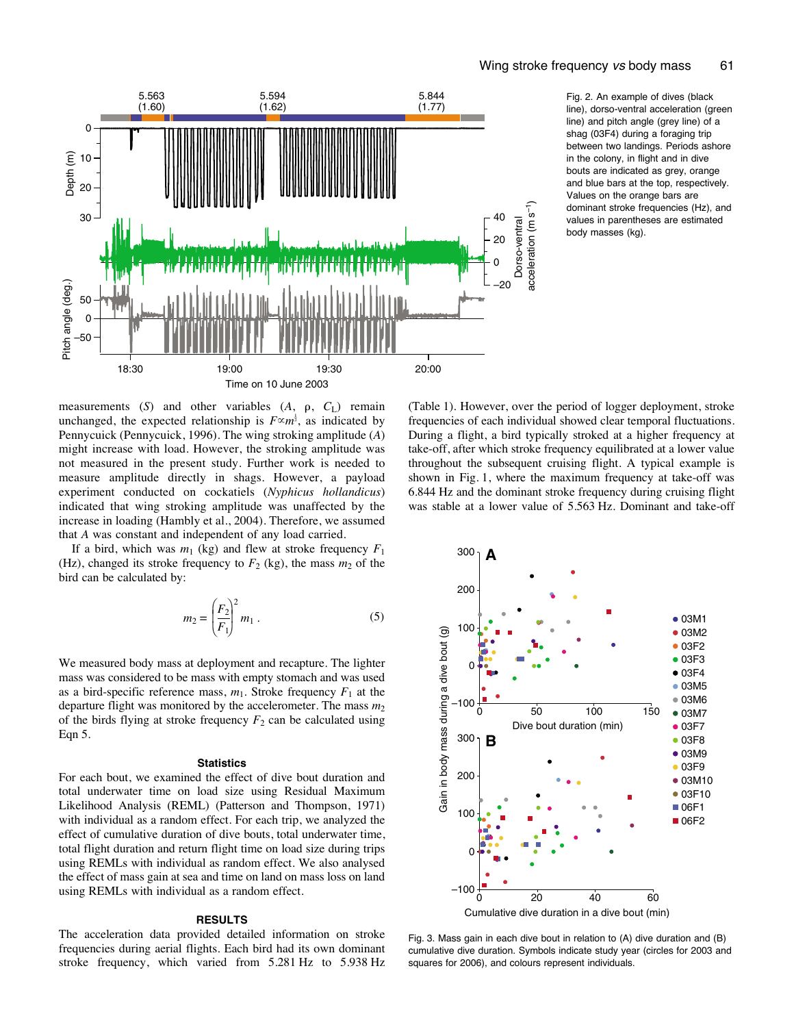

Fig. 2. An example of dives (black line), dorso-ventral acceleration (green line) and pitch angle (grey line) of a shag (03F4) during a foraging trip between two landings. Periods ashore in the colony, in flight and in dive bouts are indicated as grey, orange and blue bars at the top, respectively. Values on the orange bars are dominant stroke frequencies (Hz), and values in parentheses are estimated body masses (kg).

measurements  $(S)$  and other variables  $(A, \rho, C_L)$  remain unchanged, the expected relationship is  $F \propto m^{\frac{1}{2}}$ , as indicated by Pennycuick (Pennycuick, 1996). The wing stroking amplitude (*A*) might increase with load. However, the stroking amplitude was not measured in the present study. Further work is needed to measure amplitude directly in shags. However, a payload experiment conducted on cockatiels (*Nyphicus hollandicus*) indicated that wing stroking amplitude was unaffected by the increase in loading (Hambly et al., 2004). Therefore, we assumed that *A* was constant and independent of any load carried.

If a bird, which was  $m_1$  (kg) and flew at stroke frequency  $F_1$ (Hz), changed its stroke frequency to  $F_2$  (kg), the mass  $m_2$  of the bird can be calculated by:

$$
m_2 = \left(\frac{F_2}{F_1}\right)^2 m_1 \,. \tag{5}
$$

We measured body mass at deployment and recapture. The lighter mass was considered to be mass with empty stomach and was used as a bird-specific reference mass,  $m_1$ . Stroke frequency  $F_1$  at the departure flight was monitored by the accelerometer. The mass *m*<sup>2</sup> of the birds flying at stroke frequency  $F_2$  can be calculated using Eqn 5.

#### **Statistics**

For each bout, we examined the effect of dive bout duration and total underwater time on load size using Residual Maximum Likelihood Analysis (REML) (Patterson and Thompson, 1971) with individual as a random effect. For each trip, we analyzed the effect of cumulative duration of dive bouts, total underwater time, total flight duration and return flight time on load size during trips using REMLs with individual as random effect. We also analysed the effect of mass gain at sea and time on land on mass loss on land using REMLs with individual as a random effect.

#### **RESULTS**

The acceleration data provided detailed information on stroke frequencies during aerial flights. Each bird had its own dominant stroke frequency, which varied from 5.281 Hz to 5.938 Hz

(Table 1). However, over the period of logger deployment, stroke frequencies of each individual showed clear temporal fluctuations. During a flight, a bird typically stroked at a higher frequency at take-off, after which stroke frequency equilibrated at a lower value throughout the subsequent cruising flight. A typical example is shown in Fig. 1, where the maximum frequency at take-off was 6.844 Hz and the dominant stroke frequency during cruising flight was stable at a lower value of 5.563 Hz. Dominant and take-off



Fig. 3. Mass gain in each dive bout in relation to (A) dive duration and (B) cumulative dive duration. Symbols indicate study year (circles for 2003 and squares for 2006), and colours represent individuals.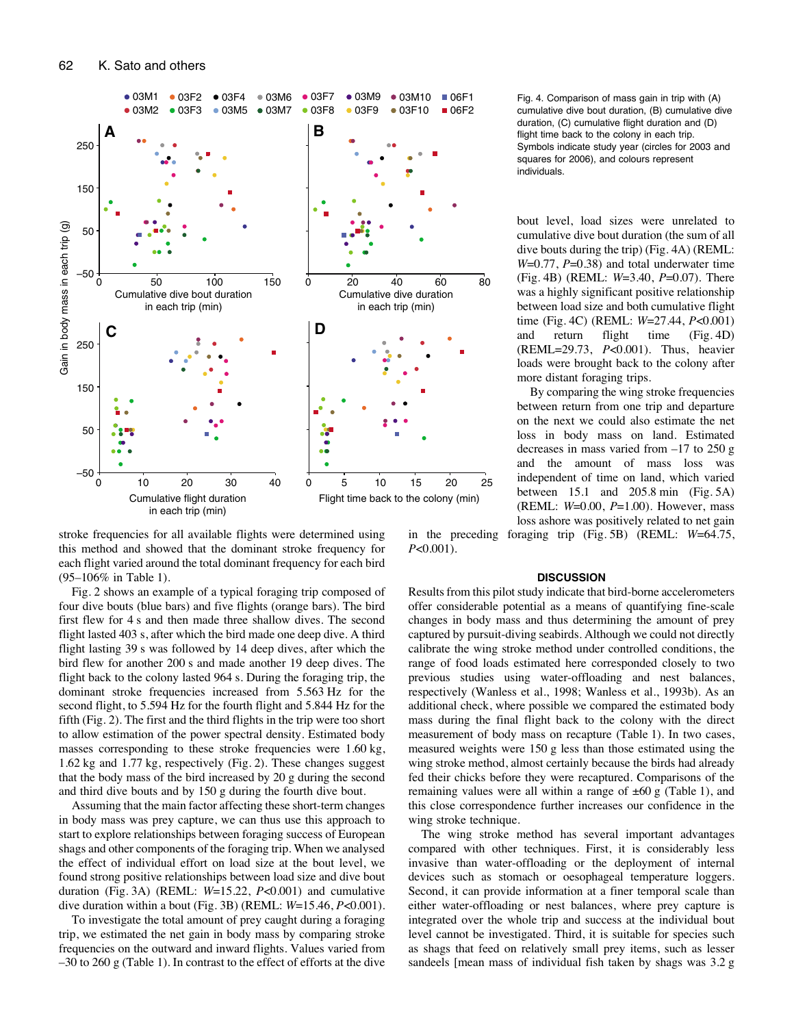

stroke frequencies for all available flights were determined using this method and showed that the dominant stroke frequency for each flight varied around the total dominant frequency for each bird  $(95-106\% \text{ in Table 1}).$ 

Fig. 2 shows an example of a typical foraging trip composed of four dive bouts (blue bars) and five flights (orange bars). The bird first flew for 4 s and then made three shallow dives. The second flight lasted 403 s, after which the bird made one deep dive. A third flight lasting 39 s was followed by 14 deep dives, after which the bird flew for another 200 s and made another 19 deep dives. The flight back to the colony lasted 964 s. During the foraging trip, the dominant stroke frequencies increased from 5.563 Hz for the second flight, to 5.594 Hz for the fourth flight and 5.844 Hz for the fifth (Fig. 2). The first and the third flights in the trip were too short to allow estimation of the power spectral density. Estimated body masses corresponding to these stroke frequencies were 1.60 kg,  $1.62 \text{ kg}$  and  $1.77 \text{ kg}$ , respectively (Fig. 2). These changes suggest that the body mass of the bird increased by 20 g during the second and third dive bouts and by 150 g during the fourth dive bout.

Assuming that the main factor affecting these short-term changes in body mass was prey capture, we can thus use this approach to start to explore relationships between foraging success of European shags and other components of the foraging trip. When we analysed the effect of individual effort on load size at the bout level, we found strong positive relationships between load size and dive bout duration (Fig. 3A) (REML: *W*=15.22, *P*<0.001) and cumulative dive duration within a bout (Fig. 3B) (REML:  $W=15.46, P<0.001$ ).

To investigate the total amount of prey caught during a foraging trip, we estimated the net gain in body mass by comparing stroke frequencies on the outward and inward flights. Values varied from  $-30$  to 260 g (Table 1). In contrast to the effect of efforts at the dive

Fig. 4. Comparison of mass gain in trip with (A) cumulative dive bout duration, (B) cumulative dive duration, (C) cumulative flight duration and (D) flight time back to the colony in each trip. Symbols indicate study year (circles for 2003 and squares for 2006), and colours represent individuals.

bout level, load sizes were unrelated to cumulative dive bout duration (the sum of all dive bouts during the trip) (Fig.  $4A$ ) (REML: *W*=0.77, *P*=0.38) and total underwater time (Fig. 4B) (REML:  $W=3.40, P=0.07$ ). There was a highly significant positive relationship between load size and both cumulative flight time (Fig. 4C) (REML:  $W=27.44$ ,  $P<0.001$ ) and return flight time (Fig. 4D) (REML=29.73, *P*<0.001). Thus, heavier loads were brought back to the colony after more distant foraging trips.

By comparing the wing stroke frequencies between return from one trip and departure on the next we could also estimate the net loss in body mass on land. Estimated decreases in mass varied from  $-17$  to 250 g and the amount of mass loss was independent of time on land, which varied between  $15.1$  and  $205.8$  min (Fig. 5A) (REML: *W*=0.00, *P*=1.00). However, mass loss ashore was positively related to net gain

in the preceding foraging trip (Fig. 5B) (REML:  $W=64.75$ , *P*<0.001).

## **DISCUSSION**

Results from this pilot study indicate that bird-borne accelerometers offer considerable potential as a means of quantifying fine-scale changes in body mass and thus determining the amount of prey captured by pursuit-diving seabirds. Although we could not directly calibrate the wing stroke method under controlled conditions, the range of food loads estimated here corresponded closely to two previous studies using water-offloading and nest balances, respectively (Wanless et al., 1998; Wanless et al., 1993b). As an additional check, where possible we compared the estimated body mass during the final flight back to the colony with the direct measurement of body mass on recapture (Table 1). In two cases, measured weights were 150 g less than those estimated using the wing stroke method, almost certainly because the birds had already fed their chicks before they were recaptured. Comparisons of the remaining values were all within a range of  $\pm 60$  g (Table 1), and this close correspondence further increases our confidence in the wing stroke technique.

The wing stroke method has several important advantages compared with other techniques. First, it is considerably less invasive than water-offloading or the deployment of internal devices such as stomach or oesophageal temperature loggers. Second, it can provide information at a finer temporal scale than either water-offloading or nest balances, where prey capture is integrated over the whole trip and success at the individual bout level cannot be investigated. Third, it is suitable for species such as shags that feed on relatively small prey items, such as lesser sandeels [mean mass of individual fish taken by shags was 3.2 g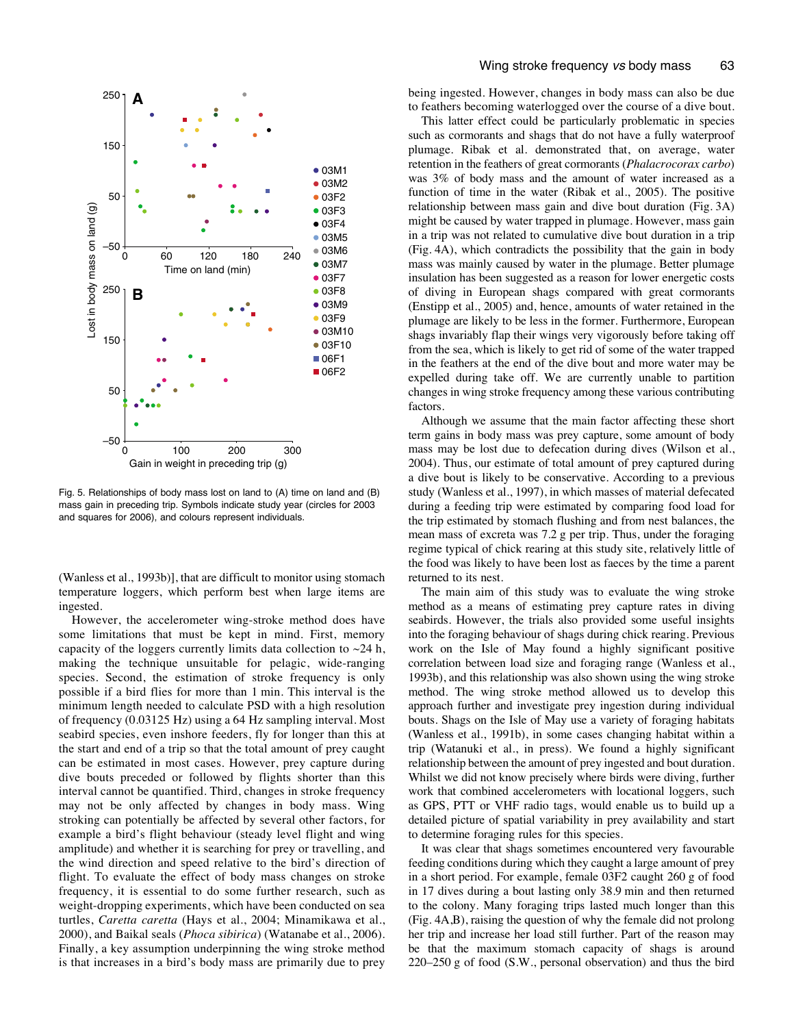

Fig. 5. Relationships of body mass lost on land to (A) time on land and (B) mass gain in preceding trip. Symbols indicate study year (circles for 2003 and squares for 2006), and colours represent individuals.

(Wanless et al., 1993b)], that are difficult to monitor using stomach temperature loggers, which perform best when large items are ingested.

However, the accelerometer wing-stroke method does have some limitations that must be kept in mind. First, memory capacity of the loggers currently limits data collection to  $\sim$ 24 h, making the technique unsuitable for pelagic, wide-ranging species. Second, the estimation of stroke frequency is only possible if a bird flies for more than 1 min. This interval is the minimum length needed to calculate PSD with a high resolution of frequency (0.03125 Hz) using a 64 Hz sampling interval. Most seabird species, even inshore feeders, fly for longer than this at the start and end of a trip so that the total amount of prey caught can be estimated in most cases. However, prey capture during dive bouts preceded or followed by flights shorter than this interval cannot be quantified. Third, changes in stroke frequency may not be only affected by changes in body mass. Wing stroking can potentially be affected by several other factors, for example a bird's flight behaviour (steady level flight and wing amplitude) and whether it is searching for prey or travelling, and the wind direction and speed relative to the bird's direction of flight. To evaluate the effect of body mass changes on stroke frequency, it is essential to do some further research, such as weight-dropping experiments, which have been conducted on sea turtles, *Caretta caretta* (Hays et al., 2004; Minamikawa et al., 2000), and Baikal seals (*Phoca sibirica*) (Watanabe et al., 2006). Finally, a key assumption underpinning the wing stroke method is that increases in a bird's body mass are primarily due to prey being ingested. However, changes in body mass can also be due to feathers becoming waterlogged over the course of a dive bout.

This latter effect could be particularly problematic in species such as cormorants and shags that do not have a fully waterproof plumage. Ribak et al. demonstrated that, on average, water retention in the feathers of great cormorants (*Phalacrocorax carbo*) was 3% of body mass and the amount of water increased as a function of time in the water (Ribak et al., 2005). The positive relationship between mass gain and dive bout duration (Fig. 3A) might be caused by water trapped in plumage. However, mass gain in a trip was not related to cumulative dive bout duration in a trip (Fig. 4A), which contradicts the possibility that the gain in body mass was mainly caused by water in the plumage. Better plumage insulation has been suggested as a reason for lower energetic costs of diving in European shags compared with great cormorants (Enstipp et al., 2005) and, hence, amounts of water retained in the plumage are likely to be less in the former. Furthermore, European shags invariably flap their wings very vigorously before taking off from the sea, which is likely to get rid of some of the water trapped in the feathers at the end of the dive bout and more water may be expelled during take off. We are currently unable to partition changes in wing stroke frequency among these various contributing factors.

Although we assume that the main factor affecting these short term gains in body mass was prey capture, some amount of body mass may be lost due to defecation during dives (Wilson et al., 2004). Thus, our estimate of total amount of prey captured during a dive bout is likely to be conservative. According to a previous study (Wanless et al., 1997), in which masses of material defecated during a feeding trip were estimated by comparing food load for the trip estimated by stomach flushing and from nest balances, the mean mass of excreta was 7.2 g per trip. Thus, under the foraging regime typical of chick rearing at this study site, relatively little of the food was likely to have been lost as faeces by the time a parent returned to its nest.

The main aim of this study was to evaluate the wing stroke method as a means of estimating prey capture rates in diving seabirds. However, the trials also provided some useful insights into the foraging behaviour of shags during chick rearing. Previous work on the Isle of May found a highly significant positive correlation between load size and foraging range (Wanless et al., 1993b), and this relationship was also shown using the wing stroke method. The wing stroke method allowed us to develop this approach further and investigate prey ingestion during individual bouts. Shags on the Isle of May use a variety of foraging habitats (Wanless et al., 1991b), in some cases changing habitat within a trip (Watanuki et al., in press). We found a highly significant relationship between the amount of prey ingested and bout duration. Whilst we did not know precisely where birds were diving, further work that combined accelerometers with locational loggers, such as GPS, PTT or VHF radio tags, would enable us to build up a detailed picture of spatial variability in prey availability and start to determine foraging rules for this species.

It was clear that shags sometimes encountered very favourable feeding conditions during which they caught a large amount of prey in a short period. For example, female 03F2 caught 260 g of food in 17 dives during a bout lasting only 38.9 min and then returned to the colony. Many foraging trips lasted much longer than this  $(Fig. 4A,B)$ , raising the question of why the female did not prolong her trip and increase her load still further. Part of the reason may be that the maximum stomach capacity of shags is around  $220-250$  g of food (S.W., personal observation) and thus the bird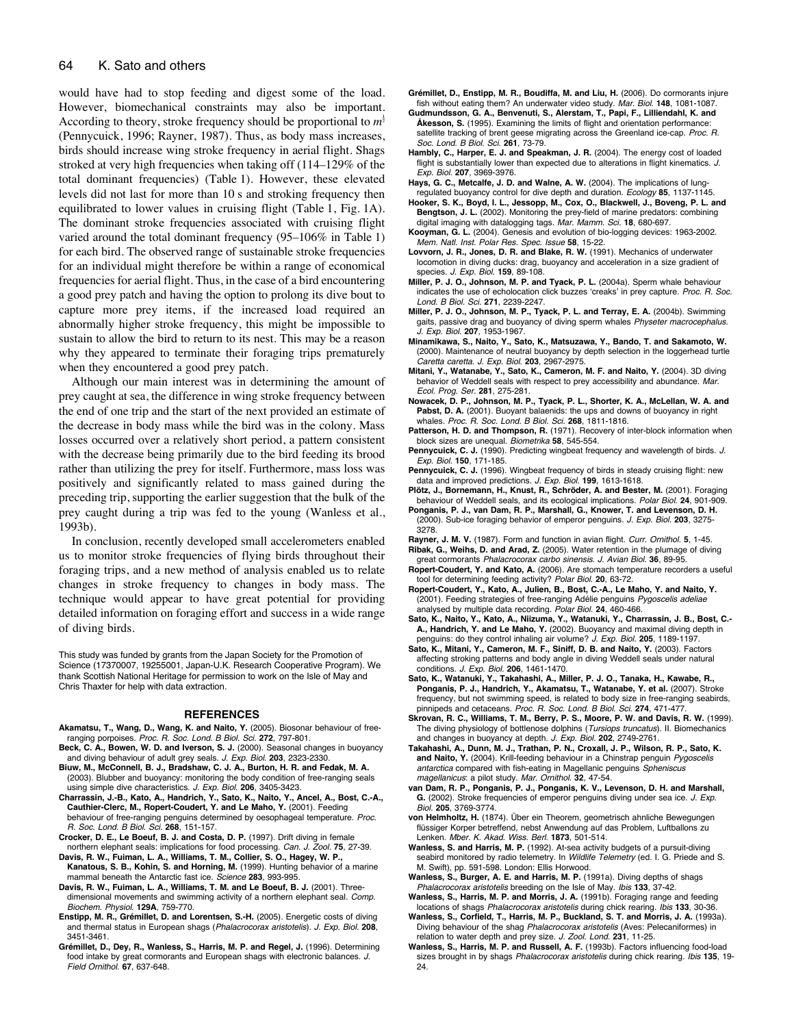# 64 K. Sato and others

would have had to stop feeding and digest some of the load. However, biomechanical constraints may also be important. According to theory, stroke frequency should be proportional to  $m^{\frac{1}{2}}$ (Pennycuick, 1996; Rayner, 1987). Thus, as body mass increases, birds should increase wing stroke frequency in aerial flight. Shags stroked at very high frequencies when taking off (114–129% of the total dominant frequencies) (Table 1). However, these elevated levels did not last for more than 10 s and stroking frequency then equilibrated to lower values in cruising flight (Table 1, Fig. 1A). The dominant stroke frequencies associated with cruising flight varied around the total dominant frequency  $(95-106\%$  in Table 1) for each bird. The observed range of sustainable stroke frequencies for an individual might therefore be within a range of economical frequencies for aerial flight. Thus, in the case of a bird encountering a good prey patch and having the option to prolong its dive bout to capture more prey items, if the increased load required an abnormally higher stroke frequency, this might be impossible to sustain to allow the bird to return to its nest. This may be a reason why they appeared to terminate their foraging trips prematurely when they encountered a good prey patch.

Although our main interest was in determining the amount of prey caught at sea, the difference in wing stroke frequency between the end of one trip and the start of the next provided an estimate of the decrease in body mass while the bird was in the colony. Mass losses occurred over a relatively short period, a pattern consistent with the decrease being primarily due to the bird feeding its brood rather than utilizing the prey for itself. Furthermore, mass loss was positively and significantly related to mass gained during the preceding trip, supporting the earlier suggestion that the bulk of the prey caught during a trip was fed to the young (Wanless et al., 1993b).

In conclusion, recently developed small accelerometers enabled us to monitor stroke frequencies of flying birds throughout their foraging trips, and a new method of analysis enabled us to relate changes in stroke frequency to changes in body mass. The technique would appear to have great potential for providing detailed information on foraging effort and success in a wide range of diving birds.

This study was funded by grants from the Japan Society for the Promotion of Science (17370007, 19255001, Japan-U.K. Research Cooperative Program). We thank Scottish National Heritage for permission to work on the Isle of May and Chris Thaxter for help with data extraction.

#### **REFERENCES**

- **Akamatsu, T., Wang, D., Wang, K. and Naito, Y.** (2005). Biosonar behaviour of freeranging porpoises. Proc. R. Soc. Lond. B Biol. Sci. **272**, 797-801.
- **Beck, C. A., Bowen, W. D. and Iverson, S. J.** (2000). Seasonal changes in buoyancy and diving behaviour of adult grey seals. J. Exp. Biol. **203**, 2323-2330.
- **Biuw, M., McConnell, B. J., Bradshaw, C. J. A., Burton, H. R. and Fedak, M. A.** (2003). Blubber and buoyancy: monitoring the body condition of free-ranging seals using simple dive characteristics. J. Exp. Biol. **206**, 3405-3423.
- **Charrassin, J.-B., Kato, A., Handrich, Y., Sato, K., Naito, Y., Ancel, A., Bost, C.-A., Cauthier-Clerc, M., Ropert-Coudert, Y. and Le Maho, Y.** (2001). Feeding behaviour of free-ranging penguins determined by oesophageal temperature. Proc. R. Soc. Lond. B Biol. Sci. **268**, 151-157.
- **Crocker, D. E., Le Boeuf, B. J. and Costa, D. P.** (1997). Drift diving in female northern elephant seals: implications for food processing. Can. J. Zool. **75**, 27-39.
- **Davis, R. W., Fuiman, L. A., Williams, T. M., Collier, S. O., Hagey, W. P., Kanatous, S. B., Kohin, S. and Horning, M.** (1999). Hunting behavior of a marine
- mammal beneath the Antarctic fast ice. Science **283**, 993-995. **Davis, R. W., Fuiman, L. A., Williams, T. M. and Le Boeuf, B. J.** (2001). Threedimensional movements and swimming activity of a northern elephant seal. Comp.
- Biochem. Physiol. **129A**, 759-770. **Enstipp, M. R., Grémillet, D. and Lorentsen, S.-H.** (2005). Energetic costs of diving and thermal status in European shags (Phalacrocorax aristotelis). J. Exp. Biol. **208**, 3451-3461.
- **Grémillet, D., Dey, R., Wanless, S., Harris, M. P. and Regel, J.** (1996). Determining food intake by great cormorants and European shags with electronic balances. J. Field Ornithol. **67**, 637-648.
- **Grémillet, D., Enstipp, M. R., Boudiffa, M. and Liu, H.** (2006). Do cormorants injure fish without eating them? An underwater video study. Mar. Biol. **148**, 1081-1087.
- **Gudmundsson, G. A., Benvenuti, S., Alerstam, T., Papi, F., Lilliendahl, K. and Åkesson, S.** (1995). Examining the limits of flight and orientation performance: satellite tracking of brent geese migrating across the Greenland ice-cap. Proc. R. Soc. Lond. B Biol. Sci. **261**, 73-79.
- **Hambly, C., Harper, E. J. and Speakman, J. R.** (2004). The energy cost of loaded flight is substantially lower than expected due to alterations in flight kinematics. J. Exp. Biol. **207**, 3969-3976.
- **Hays, G. C., Metcalfe, J. D. and Walne, A. W.** (2004). The implications of lungregulated buoyancy control for dive depth and duration. Ecology **85**, 1137-1145.
- **Hooker, S. K., Boyd, I. L., Jessopp, M., Cox, O., Blackwell, J., Boveng, P. L. and Bengtson, J. L.** (2002). Monitoring the prey-field of marine predators: combining digital imaging with datalogging tags. Mar. Mamm. Sci. **18**, 680-697.
- **Kooyman, G. L.** (2004). Genesis and evolution of bio-logging devices: 1963-2002. Mem. Natl. Inst. Polar Res. Spec. Issue **58**, 15-22.
- **Lovvorn, J. R., Jones, D. R. and Blake, R. W.** (1991). Mechanics of underwater locomotion in diving ducks: drag, buoyancy and acceleration in a size gradient of species. J. Exp. Biol. **159**, 89-108.
- **Miller, P. J. O., Johnson, M. P. and Tyack, P. L.** (2004a). Sperm whale behaviour indicates the use of echolocation click buzzes ʻcreaks' in prey capture. Proc. R. Soc. Lond. B Biol. Sci. **271**, 2239-2247.
- **Miller, P. J. O., Johnson, M. P., Tyack, P. L. and Terray, E. A.** (2004b). Swimming gaits, passive drag and buoyancy of diving sperm whales Physeter macrocephalus. J. Exp. Biol. **207**, 1953-1967.
- **Minamikawa, S., Naito, Y., Sato, K., Matsuzawa, Y., Bando, T. and Sakamoto, W.** (2000). Maintenance of neutral buoyancy by depth selection in the loggerhead turtle Caretta caretta. J. Exp. Biol. **203**, 2967-2975.
- **Mitani, Y., Watanabe, Y., Sato, K., Cameron, M. F. and Naito, Y.** (2004). 3D diving behavior of Weddell seals with respect to prey accessibility and abundance. Mar. Ecol. Prog. Ser. **281**, 275-281.
- **Nowacek, D. P., Johnson, M. P., Tyack, P. L., Shorter, K. A., McLellan, W. A. and** Pabst, D. A. (2001). Buoyant balaenids: the ups and downs of buoyancy in right whales. Proc. R. Soc. Lond. B Biol. Sci. **268**, 1811-1816.
- **Patterson, H. D. and Thompson, R.** (1971). Recovery of inter-block information when block sizes are unequal. Biometrika **58**, 545-554.
- Pennycuick, C. J. (1990). Predicting wingbeat frequency and wavelength of birds. J. Exp. Biol. **150**, 171-185.
- Pennycuick, C. J. (1996). Wingbeat frequency of birds in steady cruising flight: new data and improved predictions. J. Exp. Biol. **199**, 1613-1618.
- **Plötz, J., Bornemann, H., Knust, R., Schröder, A. and Bester, M.** (2001). Foraging behaviour of Weddell seals, and its ecological implications. Polar Biol. **24**, 901-909.
- **Ponganis, P. J., van Dam, R. P., Marshall, G., Knower, T. and Levenson, D. H.** (2000). Sub-ice foraging behavior of emperor penguins. J. Exp. Biol. **203**, 3275- 3278.
- **Rayner, J. M. V.** (1987). Form and function in avian flight. Curr. Ornithol. **5**, 1-45. **Ribak, G., Weihs, D. and Arad, Z.** (2005). Water retention in the plumage of diving
- great cormorants Phalacrocorax carbo sinensis. J. Avian Biol. **36**, 89-95.
- **Ropert-Coudert, Y. and Kato, A.** (2006). Are stomach temperature recorders a useful tool for determining feeding activity? Polar Biol. **20**, 63-72.
- **Ropert-Coudert, Y., Kato, A., Julien, B., Bost, C.-A., Le Maho, Y. and Naito, Y.** (2001). Feeding strategies of free-ranging Adélie penguins Pygoscelis adeliae analysed by multiple data recording. Polar Biol. **24**, 460-466.
- **Sato, K., Naito, Y., Kato, A., Niizuma, Y., Watanuki, Y., Charrassin, J. B., Bost, C.- A., Handrich, Y. and Le Maho, Y.** (2002). Buoyancy and maximal diving depth in penguins: do they control inhaling air volume? J. Exp. Biol. **205**, 1189-1197.
- **Sato, K., Mitani, Y., Cameron, M. F., Siniff, D. B. and Naito, Y.** (2003). Factors affecting stroking patterns and body angle in diving Weddell seals under natural conditions. J. Exp. Biol. **206**, 1461-1470.
- **Sato, K., Watanuki, Y., Takahashi, A., Miller, P. J. O., Tanaka, H., Kawabe, R., Ponganis, P. J., Handrich, Y., Akamatsu, T., Watanabe, Y. et al.** (2007). Stroke frequency, but not swimming speed, is related to body size in free-ranging seabirds, pinnipeds and cetaceans. Proc. R. Soc. Lond. B Biol. Sci. **274**, 471-477.
- **Skrovan, R. C., Williams, T. M., Berry, P. S., Moore, P. W. and Davis, R. W.** (1999). The diving physiology of bottlenose dolphins (Tursiops truncatus). II. Biomechanics and changes in buoyancy at depth. J. Exp. Biol. **202**, 2749-2761.
- **Takahashi, A., Dunn, M. J., Trathan, P. N., Croxall, J. P., Wilson, R. P., Sato, K.** and Naito, Y. (2004). Krill-feeding behaviour in a Chinstrap penguin Pygoscelis antarctica compared with fish-eating in Magellanic penguins Spheniscus magellanicus: a pilot study. Mar. Ornithol. **32**, 47-54.
- **van Dam, R. P., Ponganis, P. J., Ponganis, K. V., Levenson, D. H. and Marshall, G.** (2002). Stroke frequencies of emperor penguins diving under sea ice. J. Exp. Biol. **205**, 3769-3774.
- **von Helmholtz, H.** (1874). Über ein Theorem, geometrisch ahnliche Bewegungen flüssiger Korper betreffend, nebst Anwendung auf das Problem, Luftballons zu Lenken. Mber. K. Akad. Wiss. Berl. **1873**, 501-514.
- **Wanless, S. and Harris, M. P.** (1992). At-sea activity budgets of a pursuit-diving seabird monitored by radio telemetry. In Wildlife Telemetry (ed. I. G. Priede and S. M. Swift), pp. 591-598. London: Ellis Horwood.
- **Wanless, S., Burger, A. E. and Harris, M. P.** (1991a). Diving depths of shags Phalacrocorax aristotelis breeding on the Isle of May. Ibis **133**, 37-42.
- **Wanless, S., Harris, M. P. and Morris, J. A.** (1991b). Foraging range and feeding locations of shags Phalacrocorax aristotelis during chick rearing. Ibis **133**, 30-36.
- **Wanless, S., Corfield, T., Harris, M. P., Buckland, S. T. and Morris, J. A.** (1993a). Diving behaviour of the shag Phalacrocorax aristotelis (Aves: Pelecaniformes) in relation to water depth and prey size. J. Zool. Lond. **231**, 11-25.
- **Wanless, S., Harris, M. P. and Russell, A. F.** (1993b). Factors influencing food-load sizes brought in by shags Phalacrocorax aristotelis during chick rearing. Ibis **135**, 19- 24.